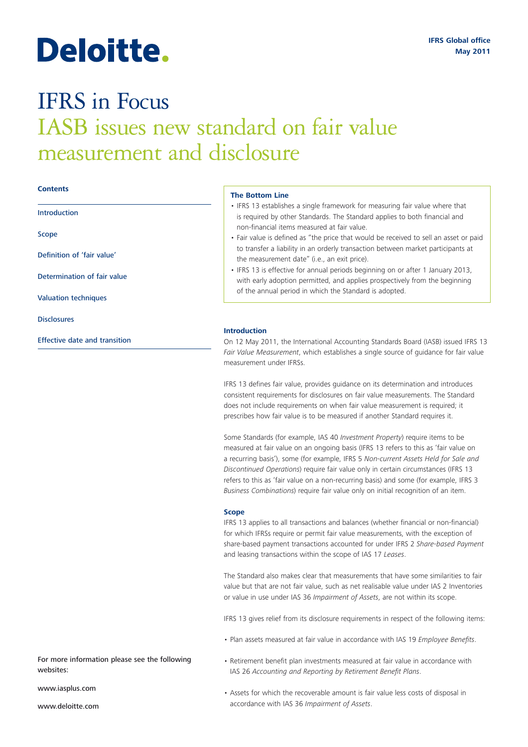# Deloitte.

## IFRS in Focus IASB issues new standard on fair value measurement and disclosure

#### **Contents**

Introduction

Scope

Definition of 'fair value'

Determination of fair value

Valuation techniques

**Disclosures** 

Effective date and transition

#### **The Bottom Line**

- IFRS 13 establishes a single framework for measuring fair value where that is required by other Standards. The Standard applies to both financial and non-financial items measured at fair value.
- Fair value is defined as "the price that would be received to sell an asset or paid to transfer a liability in an orderly transaction between market participants at the measurement date" (i.e., an exit price).
- IFRS 13 is effective for annual periods beginning on or after 1 January 2013, with early adoption permitted, and applies prospectively from the beginning of the annual period in which the Standard is adopted.

#### **Introduction**

On 12 May 2011, the International Accounting Standards Board (IASB) issued IFRS 13 *Fair Value Measurement*, which establishes a single source of guidance for fair value measurement under IFRSs.

IFRS 13 defines fair value, provides guidance on its determination and introduces consistent requirements for disclosures on fair value measurements. The Standard does not include requirements on when fair value measurement is required; it prescribes how fair value is to be measured if another Standard requires it.

Some Standards (for example, IAS 40 *Investment Property*) require items to be measured at fair value on an ongoing basis (IFRS 13 refers to this as 'fair value on a recurring basis'), some (for example, IFRS 5 *Non-current Assets Held for Sale and Discontinued Operations*) require fair value only in certain circumstances (IFRS 13 refers to this as 'fair value on a non-recurring basis) and some (for example, IFRS 3 *Business Combinations*) require fair value only on initial recognition of an item.

#### **Scope**

IFRS 13 applies to all transactions and balances (whether financial or non-financial) for which IFRSs require or permit fair value measurements, with the exception of share-based payment transactions accounted for under IFRS 2 *Share-based Payment* and leasing transactions within the scope of IAS 17 *Leases*.

The Standard also makes clear that measurements that have some similarities to fair value but that are not fair value, such as net realisable value under IAS 2 Inventories or value in use under IAS 36 *Impairment of Assets*, are not within its scope.

IFRS 13 gives relief from its disclosure requirements in respect of the following items:

- Plan assets measured at fair value in accordance with IAS 19 *Employee Benefits*.
- Retirement benefit plan investments measured at fair value in accordance with IAS 26 *Accounting and Reporting by Retirement Benefit Plans*.
- For more information please see the following websites:

www.iasplus.com

www.deloitte.com

• Assets for which the recoverable amount is fair value less costs of disposal in accordance with IAS 36 *Impairment of Assets*.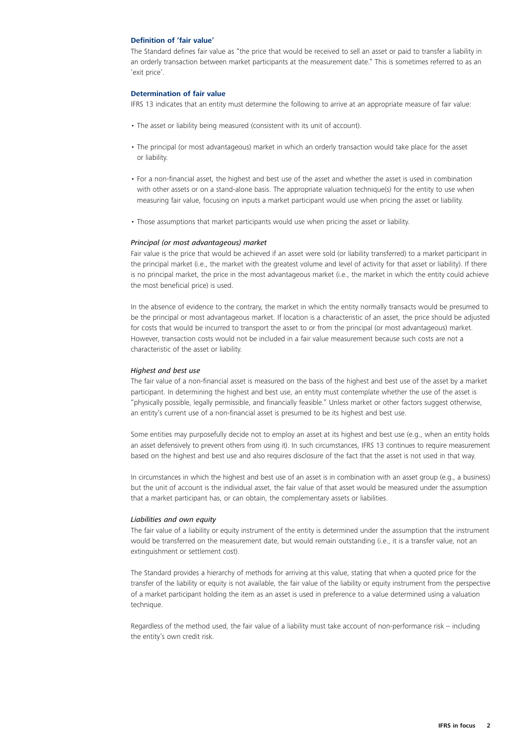#### **Definition of 'fair value'**

The Standard defines fair value as "the price that would be received to sell an asset or paid to transfer a liability in an orderly transaction between market participants at the measurement date." This is sometimes referred to as an 'exit price'.

#### **Determination of fair value**

IFRS 13 indicates that an entity must determine the following to arrive at an appropriate measure of fair value:

- The asset or liability being measured (consistent with its unit of account).
- The principal (or most advantageous) market in which an orderly transaction would take place for the asset or liability.
- For a non-financial asset, the highest and best use of the asset and whether the asset is used in combination with other assets or on a stand-alone basis. The appropriate valuation technique(s) for the entity to use when measuring fair value, focusing on inputs a market participant would use when pricing the asset or liability.
- Those assumptions that market participants would use when pricing the asset or liability.

#### *Principal (or most advantageous) market*

Fair value is the price that would be achieved if an asset were sold (or liability transferred) to a market participant in the principal market (i.e., the market with the greatest volume and level of activity for that asset or liability). If there is no principal market, the price in the most advantageous market (i.e., the market in which the entity could achieve the most beneficial price) is used.

In the absence of evidence to the contrary, the market in which the entity normally transacts would be presumed to be the principal or most advantageous market. If location is a characteristic of an asset, the price should be adjusted for costs that would be incurred to transport the asset to or from the principal (or most advantageous) market. However, transaction costs would not be included in a fair value measurement because such costs are not a characteristic of the asset or liability.

#### *Highest and best use*

The fair value of a non-financial asset is measured on the basis of the highest and best use of the asset by a market participant. In determining the highest and best use, an entity must contemplate whether the use of the asset is "physically possible, legally permissible, and financially feasible." Unless market or other factors suggest otherwise, an entity's current use of a non-financial asset is presumed to be its highest and best use.

Some entities may purposefully decide not to employ an asset at its highest and best use (e.g., when an entity holds an asset defensively to prevent others from using it). In such circumstances, IFRS 13 continues to require measurement based on the highest and best use and also requires disclosure of the fact that the asset is not used in that way.

In circumstances in which the highest and best use of an asset is in combination with an asset group (e.g., a business) but the unit of account is the individual asset, the fair value of that asset would be measured under the assumption that a market participant has, or can obtain, the complementary assets or liabilities.

#### *Liabilities and own equity*

The fair value of a liability or equity instrument of the entity is determined under the assumption that the instrument would be transferred on the measurement date, but would remain outstanding (i.e., it is a transfer value, not an extinguishment or settlement cost).

The Standard provides a hierarchy of methods for arriving at this value, stating that when a quoted price for the transfer of the liability or equity is not available, the fair value of the liability or equity instrument from the perspective of a market participant holding the item as an asset is used in preference to a value determined using a valuation technique.

Regardless of the method used, the fair value of a liability must take account of non-performance risk – including the entity's own credit risk.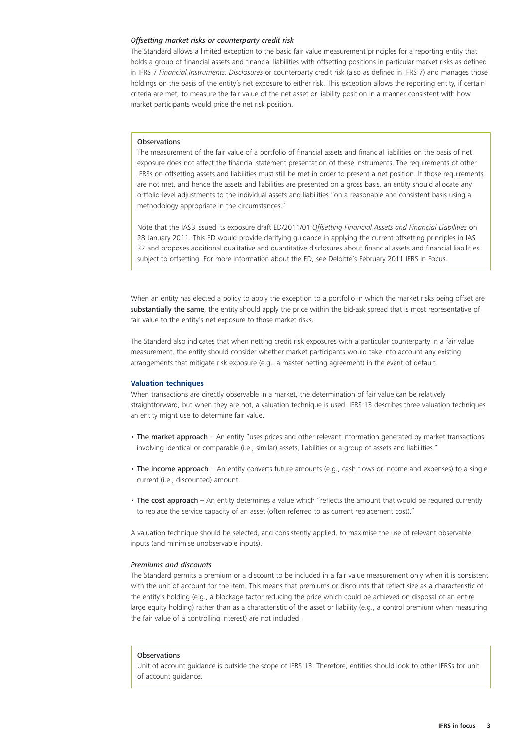#### *Offsetting market risks or counterparty credit risk*

The Standard allows a limited exception to the basic fair value measurement principles for a reporting entity that holds a group of financial assets and financial liabilities with offsetting positions in particular market risks as defined in IFRS 7 *Financial Instruments: Disclosures* or counterparty credit risk (also as defined in IFRS 7) and manages those holdings on the basis of the entity's net exposure to either risk. This exception allows the reporting entity, if certain criteria are met, to measure the fair value of the net asset or liability position in a manner consistent with how market participants would price the net risk position.

#### **Observations**

The measurement of the fair value of a portfolio of financial assets and financial liabilities on the basis of net exposure does not affect the financial statement presentation of these instruments. The requirements of other IFRSs on offsetting assets and liabilities must still be met in order to present a net position. If those requirements are not met, and hence the assets and liabilities are presented on a gross basis, an entity should allocate any ortfolio-level adjustments to the individual assets and liabilities "on a reasonable and consistent basis using a methodology appropriate in the circumstances."

Note that the IASB issued its exposure draft ED/2011/01 *Offsetting Financial Assets and Financial Liabilities* on 28 January 2011. This ED would provide clarifying guidance in applying the current offsetting principles in IAS 32 and proposes additional qualitative and quantitative disclosures about financial assets and financial liabilities subject to offsetting. For more information about the ED, see Deloitte's February 2011 IFRS in Focus.

When an entity has elected a policy to apply the exception to a portfolio in which the market risks being offset are substantially the same, the entity should apply the price within the bid-ask spread that is most representative of fair value to the entity's net exposure to those market risks.

The Standard also indicates that when netting credit risk exposures with a particular counterparty in a fair value measurement, the entity should consider whether market participants would take into account any existing arrangements that mitigate risk exposure (e.g., a master netting agreement) in the event of default.

#### **Valuation techniques**

When transactions are directly observable in a market, the determination of fair value can be relatively straightforward, but when they are not, a valuation technique is used. IFRS 13 describes three valuation techniques an entity might use to determine fair value.

- The market approach An entity "uses prices and other relevant information generated by market transactions involving identical or comparable (i.e., similar) assets, liabilities or a group of assets and liabilities."
- The income approach An entity converts future amounts (e.g., cash flows or income and expenses) to a single current (i.e., discounted) amount.
- The cost approach An entity determines a value which "reflects the amount that would be required currently to replace the service capacity of an asset (often referred to as current replacement cost)."

A valuation technique should be selected, and consistently applied, to maximise the use of relevant observable inputs (and minimise unobservable inputs).

#### *Premiums and discounts*

The Standard permits a premium or a discount to be included in a fair value measurement only when it is consistent with the unit of account for the item. This means that premiums or discounts that reflect size as a characteristic of the entity's holding (e.g., a blockage factor reducing the price which could be achieved on disposal of an entire large equity holding) rather than as a characteristic of the asset or liability (e.g., a control premium when measuring the fair value of a controlling interest) are not included.

#### **Observations**

Unit of account guidance is outside the scope of IFRS 13. Therefore, entities should look to other IFRSs for unit of account guidance.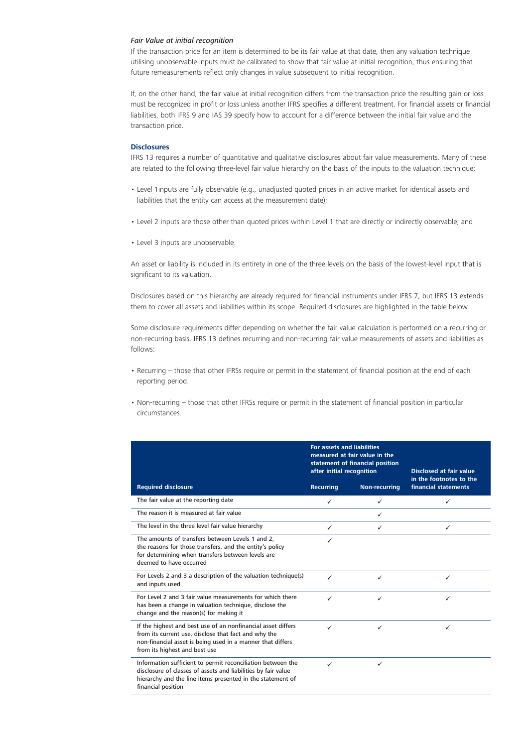#### *Fair Value at initial recognition*

If the transaction price for an item is determined to be its fair value at that date, then any valuation technique utilising unobservable inputs must be calibrated to show that fair value at initial recognition, thus ensuring that future remeasurements reflect only changes in value subsequent to initial recognition.

If, on the other hand, the fair value at initial recognition differs from the transaction price the resulting gain or loss must be recognized in profit or loss unless another IFRS specifies a different treatment. For financial assets or financial liabilities, both IFRS 9 and IAS 39 specify how to account for a difference between the initial fair value and the transaction price.

#### **Disclosures**

IFRS 13 requires a number of quantitative and qualitative disclosures about fair value measurements. Many of these are related to the following three-level fair value hierarchy on the basis of the inputs to the valuation technique:

- Level 1inputs are fully observable (e.g., unadjusted quoted prices in an active market for identical assets and liabilities that the entity can access at the measurement date);
- Level 2 inputs are those other than quoted prices within Level 1 that are directly or indirectly observable; and
- Level 3 inputs are unobservable.

An asset or liability is included in its entirety in one of the three levels on the basis of the lowest-level input that is significant to its valuation.

Disclosures based on this hierarchy are already required for financial instruments under IFRS 7, but IFRS 13 extends them to cover all assets and liabilities within its scope. Required disclosures are highlighted in the table below.

Some disclosure requirements differ depending on whether the fair value calculation is performed on a recurring or non-recurring basis. IFRS 13 defines recurring and non-recurring fair value measurements of assets and liabilities as follows:

- Recurring those that other IFRSs require or permit in the statement of financial position at the end of each reporting period.
- Non-recurring those that other IFRSs require or permit in the statement of financial position in particular circumstances.

|                                                                                                                                                                                                                     | <b>For assets and liabilities</b><br>measured at fair value in the<br>statement of financial position<br>after initial recognition |                      | Disclosed at fair value<br>in the footnotes to the |
|---------------------------------------------------------------------------------------------------------------------------------------------------------------------------------------------------------------------|------------------------------------------------------------------------------------------------------------------------------------|----------------------|----------------------------------------------------|
| <b>Required disclosure</b>                                                                                                                                                                                          | <b>Recurring</b>                                                                                                                   | <b>Non-recurring</b> | financial statements                               |
| The fair value at the reporting date                                                                                                                                                                                | ✓                                                                                                                                  | ✓                    | ✓                                                  |
| The reason it is measured at fair value                                                                                                                                                                             |                                                                                                                                    | ✓                    |                                                    |
| The level in the three level fair value hierarchy                                                                                                                                                                   | ✓                                                                                                                                  | ✓                    | ✓                                                  |
| The amounts of transfers between Levels 1 and 2.<br>the reasons for those transfers, and the entity's policy<br>for determining when transfers between levels are<br>deemed to have occurred                        | ✓                                                                                                                                  |                      |                                                    |
| For Levels 2 and 3 a description of the valuation technique(s)<br>and inputs used                                                                                                                                   | ✓                                                                                                                                  | $\checkmark$         | ✓                                                  |
| For Level 2 and 3 fair value measurements for which there<br>has been a change in valuation technique, disclose the<br>change and the reason(s) for making it                                                       | ✓                                                                                                                                  | ✓                    | ✓                                                  |
| If the highest and best use of an nonfinancial asset differs<br>from its current use, disclose that fact and why the<br>non-financial asset is being used in a manner that differs<br>from its highest and best use | $\checkmark$                                                                                                                       | ✓                    | ✓                                                  |
| Information sufficient to permit reconciliation between the<br>disclosure of classes of assets and liabilities by fair value<br>hierarchy and the line items presented in the statement of<br>financial position    | ✓                                                                                                                                  | ✓                    |                                                    |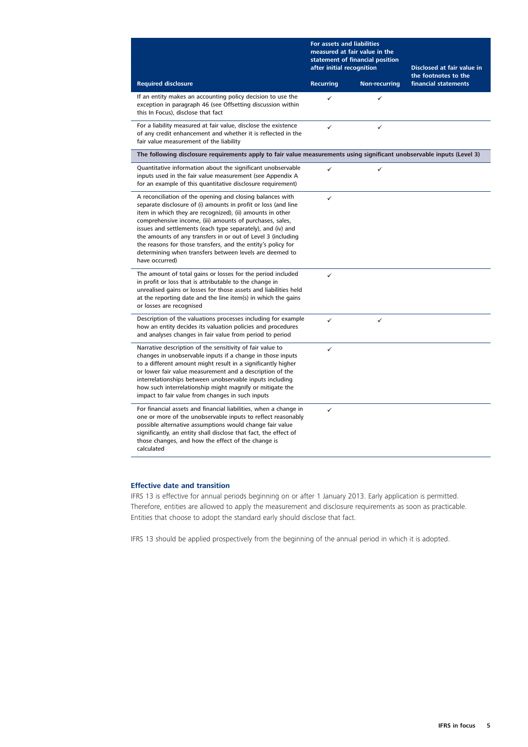|                                                                                                                                                                                                                                                                                                                                                                                                                                                                                                                                  | For assets and liabilities<br>measured at fair value in the<br>statement of financial position<br>after initial recognition |                      | Disclosed at fair value in<br>the footnotes to the |
|----------------------------------------------------------------------------------------------------------------------------------------------------------------------------------------------------------------------------------------------------------------------------------------------------------------------------------------------------------------------------------------------------------------------------------------------------------------------------------------------------------------------------------|-----------------------------------------------------------------------------------------------------------------------------|----------------------|----------------------------------------------------|
| <b>Required disclosure</b>                                                                                                                                                                                                                                                                                                                                                                                                                                                                                                       | <b>Recurring</b>                                                                                                            | <b>Non-recurring</b> | financial statements                               |
| If an entity makes an accounting policy decision to use the<br>exception in paragraph 46 (see Offsetting discussion within<br>this In Focus), disclose that fact                                                                                                                                                                                                                                                                                                                                                                 | ✓                                                                                                                           | ✓                    |                                                    |
| For a liability measured at fair value, disclose the existence<br>of any credit enhancement and whether it is reflected in the<br>fair value measurement of the liability                                                                                                                                                                                                                                                                                                                                                        | ✓                                                                                                                           | ✓                    |                                                    |
| The following disclosure requirements apply to fair value measurements using significant unobservable inputs (Level 3)                                                                                                                                                                                                                                                                                                                                                                                                           |                                                                                                                             |                      |                                                    |
| Quantitative information about the significant unobservable<br>inputs used in the fair value measurement (see Appendix A<br>for an example of this quantitative disclosure requirement)                                                                                                                                                                                                                                                                                                                                          | ✓                                                                                                                           | ✓                    |                                                    |
| A reconciliation of the opening and closing balances with<br>separate disclosure of (i) amounts in profit or loss (and line<br>item in which they are recognized), (ii) amounts in other<br>comprehensive income, (iii) amounts of purchases, sales,<br>issues and settlements (each type separately), and (iv) and<br>the amounts of any transfers in or out of Level 3 (including<br>the reasons for those transfers, and the entity's policy for<br>determining when transfers between levels are deemed to<br>have occurred) | $\checkmark$                                                                                                                |                      |                                                    |
| The amount of total gains or losses for the period included<br>in profit or loss that is attributable to the change in<br>unrealised gains or losses for those assets and liabilities held<br>at the reporting date and the line item(s) in which the gains<br>or losses are recognised                                                                                                                                                                                                                                          | $\checkmark$                                                                                                                |                      |                                                    |
| Description of the valuations processes including for example<br>how an entity decides its valuation policies and procedures<br>and analyses changes in fair value from period to period                                                                                                                                                                                                                                                                                                                                         | ✓                                                                                                                           | ✓                    |                                                    |
| Narrative description of the sensitivity of fair value to<br>changes in unobservable inputs if a change in those inputs<br>to a different amount might result in a significantly higher<br>or lower fair value measurement and a description of the<br>interrelationships between unobservable inputs including<br>how such interrelationship might magnify or mitigate the<br>impact to fair value from changes in such inputs                                                                                                  | ✓                                                                                                                           |                      |                                                    |
| For financial assets and financial liabilities, when a change in<br>one or more of the unobservable inputs to reflect reasonably<br>possible alternative assumptions would change fair value<br>significantly, an entity shall disclose that fact, the effect of<br>those changes, and how the effect of the change is<br>calculated                                                                                                                                                                                             | ✓                                                                                                                           |                      |                                                    |

#### **Effective date and transition**

IFRS 13 is effective for annual periods beginning on or after 1 January 2013. Early application is permitted. Therefore, entities are allowed to apply the measurement and disclosure requirements as soon as practicable. Entities that choose to adopt the standard early should disclose that fact.

IFRS 13 should be applied prospectively from the beginning of the annual period in which it is adopted.